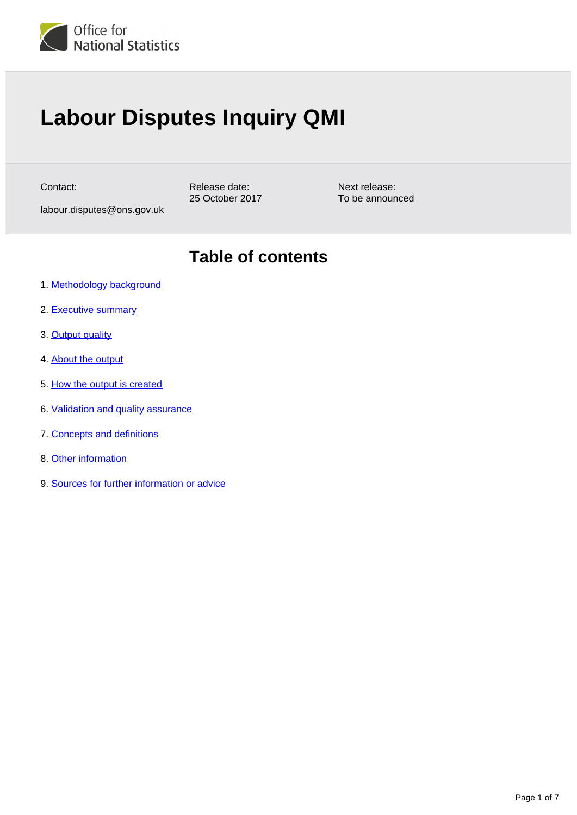

# **Labour Disputes Inquiry QMI**

Contact:

Release date: 25 October 2017

labour.disputes@ons.gov.uk

**Table of contents**

Next release: To be announced

- 1. [Methodology background](#page-1-0)
- 2. [Executive summary](#page-1-1)
- 3. [Output quality](#page-1-2)
- 4. [About the output](#page-2-0)
- 5. [How the output is created](#page-3-0)
- 6. [Validation and quality assurance](#page-3-1)
- 7. [Concepts and definitions](#page-4-0)
- 8. [Other information](#page-5-0)
- 9. [Sources for further information or advice](#page-5-1)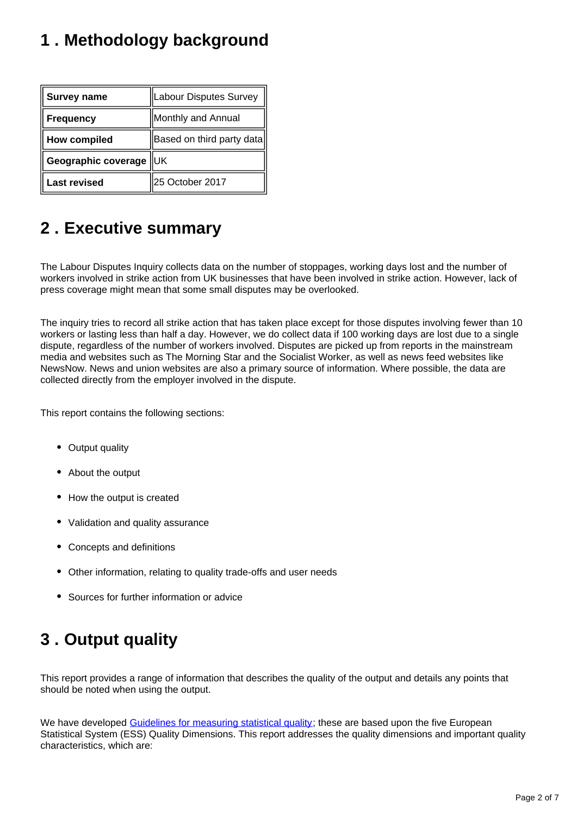# <span id="page-1-0"></span>**1 . Methodology background**

| <b>Survey name</b>     | Labour Disputes Survey    |
|------------------------|---------------------------|
| <b>Frequency</b>       | Monthly and Annual        |
| <b>How compiled</b>    | Based on third party data |
| Geographic coverage UK |                           |
| <b>Last revised</b>    | 25 October 2017           |

### <span id="page-1-1"></span>**2 . Executive summary**

The Labour Disputes Inquiry collects data on the number of stoppages, working days lost and the number of workers involved in strike action from UK businesses that have been involved in strike action. However, lack of press coverage might mean that some small disputes may be overlooked.

The inquiry tries to record all strike action that has taken place except for those disputes involving fewer than 10 workers or lasting less than half a day. However, we do collect data if 100 working days are lost due to a single dispute, regardless of the number of workers involved. Disputes are picked up from reports in the mainstream media and websites such as The Morning Star and the Socialist Worker, as well as news feed websites like NewsNow. News and union websites are also a primary source of information. Where possible, the data are collected directly from the employer involved in the dispute.

This report contains the following sections:

- Output quality
- About the output
- How the output is created
- Validation and quality assurance
- Concepts and definitions
- Other information, relating to quality trade-offs and user needs
- Sources for further information or advice

# <span id="page-1-2"></span>**3 . Output quality**

This report provides a range of information that describes the quality of the output and details any points that should be noted when using the output.

We have developed [Guidelines for measuring statistical quality;](http://www.ons.gov.uk/methodology/methodologytopicsandstatisticalconcepts/qualityinofficialstatistics/qualitydefined) these are based upon the five European Statistical System (ESS) Quality Dimensions. This report addresses the quality dimensions and important quality characteristics, which are: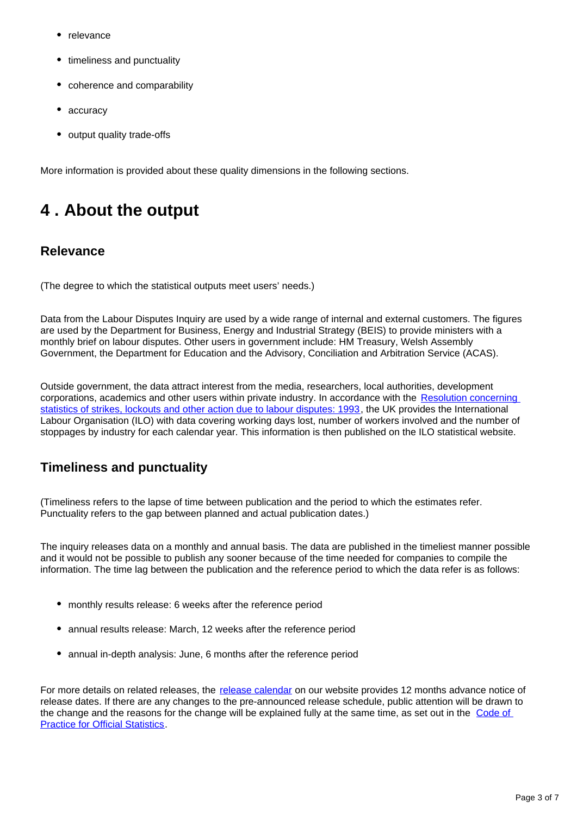- relevance
- timeliness and punctuality
- coherence and comparability
- accuracy
- output quality trade-offs

More information is provided about these quality dimensions in the following sections.

### <span id="page-2-0"></span>**4 . About the output**

#### **Relevance**

(The degree to which the statistical outputs meet users' needs.)

Data from the Labour Disputes Inquiry are used by a wide range of internal and external customers. The figures are used by the Department for Business, Energy and Industrial Strategy (BEIS) to provide ministers with a monthly brief on labour disputes. Other users in government include: HM Treasury, Welsh Assembly Government, the Department for Education and the Advisory, Conciliation and Arbitration Service (ACAS).

Outside government, the data attract interest from the media, researchers, local authorities, development corporations, academics and other users within private industry. In accordance with the [Resolution concerning](http://www.ilo.org/global/statistics-and-databases/standards-and-guidelines/resolutions-adopted-by-international-conferences-of-labour-statisticians/WCMS_087544/lang--en/index.htm)  [statistics of strikes, lockouts and other action due to labour disputes: 1993](http://www.ilo.org/global/statistics-and-databases/standards-and-guidelines/resolutions-adopted-by-international-conferences-of-labour-statisticians/WCMS_087544/lang--en/index.htm), the UK provides the International Labour Organisation (ILO) with data covering working days lost, number of workers involved and the number of stoppages by industry for each calendar year. This information is then published on the ILO statistical website.

#### **Timeliness and punctuality**

(Timeliness refers to the lapse of time between publication and the period to which the estimates refer. Punctuality refers to the gap between planned and actual publication dates.)

The inquiry releases data on a monthly and annual basis. The data are published in the timeliest manner possible and it would not be possible to publish any sooner because of the time needed for companies to compile the information. The time lag between the publication and the reference period to which the data refer is as follows:

- monthly results release: 6 weeks after the reference period
- annual results release: March, 12 weeks after the reference period
- annual in-depth analysis: June, 6 months after the reference period

For more details on related releases, the [release calendar](https://www.ons.gov.uk/releasecalendar) on our website provides 12 months advance notice of release dates. If there are any changes to the pre-announced release schedule, public attention will be drawn to the change and the reasons for the change will be explained fully at the same time, as set out in the Code of **[Practice for Official Statistics](https://www.statisticsauthority.gov.uk/osr/code-of-practice/).**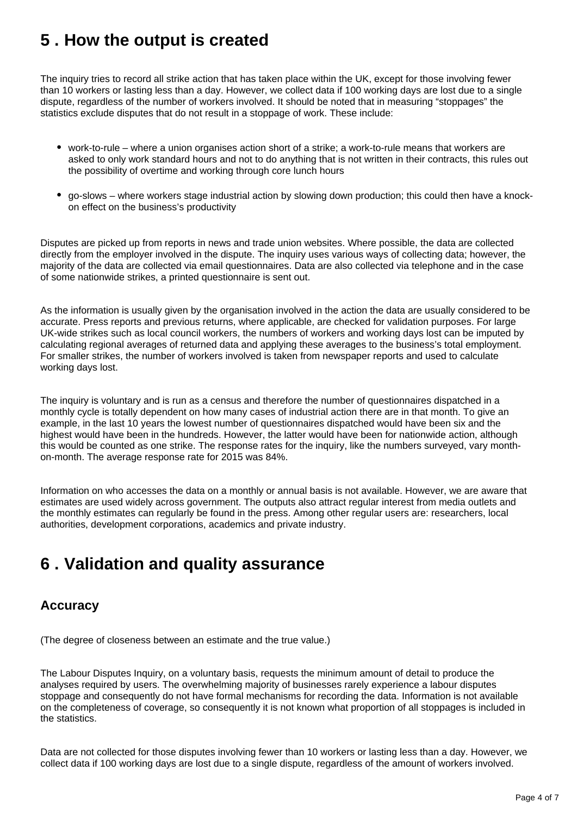### <span id="page-3-0"></span>**5 . How the output is created**

The inquiry tries to record all strike action that has taken place within the UK, except for those involving fewer than 10 workers or lasting less than a day. However, we collect data if 100 working days are lost due to a single dispute, regardless of the number of workers involved. It should be noted that in measuring "stoppages" the statistics exclude disputes that do not result in a stoppage of work. These include:

- work-to-rule where a union organises action short of a strike; a work-to-rule means that workers are asked to only work standard hours and not to do anything that is not written in their contracts, this rules out the possibility of overtime and working through core lunch hours
- go-slows where workers stage industrial action by slowing down production; this could then have a knockon effect on the business's productivity

Disputes are picked up from reports in news and trade union websites. Where possible, the data are collected directly from the employer involved in the dispute. The inquiry uses various ways of collecting data; however, the majority of the data are collected via email questionnaires. Data are also collected via telephone and in the case of some nationwide strikes, a printed questionnaire is sent out.

As the information is usually given by the organisation involved in the action the data are usually considered to be accurate. Press reports and previous returns, where applicable, are checked for validation purposes. For large UK-wide strikes such as local council workers, the numbers of workers and working days lost can be imputed by calculating regional averages of returned data and applying these averages to the business's total employment. For smaller strikes, the number of workers involved is taken from newspaper reports and used to calculate working days lost.

The inquiry is voluntary and is run as a census and therefore the number of questionnaires dispatched in a monthly cycle is totally dependent on how many cases of industrial action there are in that month. To give an example, in the last 10 years the lowest number of questionnaires dispatched would have been six and the highest would have been in the hundreds. However, the latter would have been for nationwide action, although this would be counted as one strike. The response rates for the inquiry, like the numbers surveyed, vary monthon-month. The average response rate for 2015 was 84%.

Information on who accesses the data on a monthly or annual basis is not available. However, we are aware that estimates are used widely across government. The outputs also attract regular interest from media outlets and the monthly estimates can regularly be found in the press. Among other regular users are: researchers, local authorities, development corporations, academics and private industry.

## <span id="page-3-1"></span>**6 . Validation and quality assurance**

#### **Accuracy**

(The degree of closeness between an estimate and the true value.)

The Labour Disputes Inquiry, on a voluntary basis, requests the minimum amount of detail to produce the analyses required by users. The overwhelming majority of businesses rarely experience a labour disputes stoppage and consequently do not have formal mechanisms for recording the data. Information is not available on the completeness of coverage, so consequently it is not known what proportion of all stoppages is included in the statistics.

Data are not collected for those disputes involving fewer than 10 workers or lasting less than a day. However, we collect data if 100 working days are lost due to a single dispute, regardless of the amount of workers involved.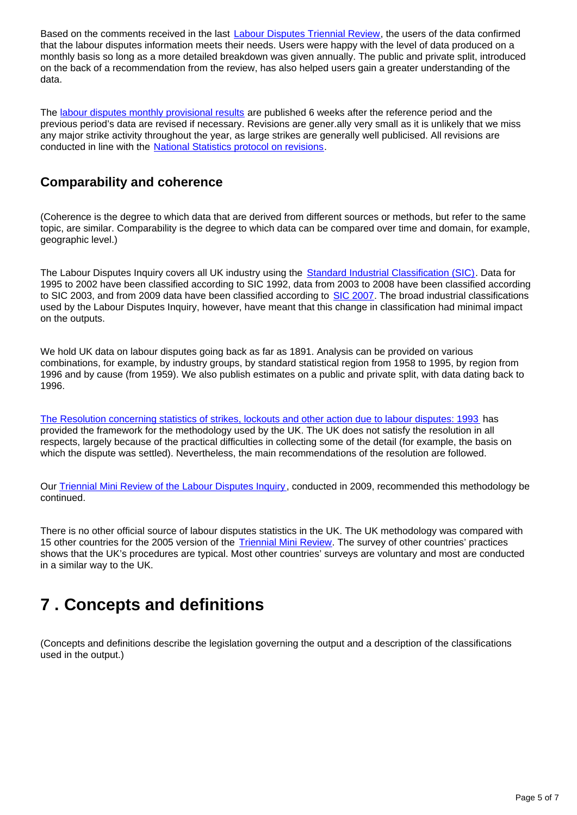Based on the comments received in the last **Labour Disputes Triennial Review**, the users of the data confirmed that the labour disputes information meets their needs. Users were happy with the level of data produced on a monthly basis so long as a more detailed breakdown was given annually. The public and private split, introduced on the back of a recommendation from the review, has also helped users gain a greater understanding of the data.

The [labour disputes monthly provisional results](https://www.ons.gov.uk/employmentandlabourmarket/peopleinwork/workplacedisputesandworkingconditions) are published 6 weeks after the reference period and the previous period's data are revised if necessary. Revisions are gener.ally very small as it is unlikely that we miss any major strike activity throughout the year, as large strikes are generally well publicised. All revisions are conducted in line with the [National Statistics protocol on revisions.](https://www.ons.gov.uk/methodology/methodologytopicsandstatisticalconcepts/revisions)

#### **Comparability and coherence**

(Coherence is the degree to which data that are derived from different sources or methods, but refer to the same topic, are similar. Comparability is the degree to which data can be compared over time and domain, for example, geographic level.)

The Labour Disputes Inquiry covers all UK industry using the **Standard Industrial Classification (SIC)**. Data for 1995 to 2002 have been classified according to SIC 1992, data from 2003 to 2008 have been classified according to SIC 2003, and from 2009 data have been classified according to [SIC 2007](https://www.ons.gov.uk/methodology/classificationsandstandards/ukstandardindustrialclassificationofeconomicactivities/uksic2007). The broad industrial classifications used by the Labour Disputes Inquiry, however, have meant that this change in classification had minimal impact on the outputs.

We hold UK data on labour disputes going back as far as 1891. Analysis can be provided on various combinations, for example, by industry groups, by standard statistical region from 1958 to 1995, by region from 1996 and by cause (from 1959). We also publish estimates on a public and private split, with data dating back to 1996.

[The Resolution concerning statistics of strikes, lockouts and other action due to labour disputes: 1993](http://www.ilo.org/global/statistics-and-databases/standards-and-guidelines/resolutions-adopted-by-international-conferences-of-labour-statisticians/WCMS_087544/lang--en/index.htm) has provided the framework for the methodology used by the UK. The UK does not satisfy the resolution in all respects, largely because of the practical difficulties in collecting some of the detail (for example, the basis on which the dispute was settled). Nevertheless, the main recommendations of the resolution are followed.

Our [Triennial Mini Review of the Labour Disputes Inquiry,](http://webarchive.nationalarchives.gov.uk/20160105160709/http:/www.ons.gov.uk/ons/guide-method/method-quality/quality/reviews/index.html) conducted in 2009, recommended this methodology be continued.

There is no other official source of labour disputes statistics in the UK. The UK methodology was compared with 15 other countries for the 2005 version of the [Triennial Mini Review.](http://webarchive.nationalarchives.gov.uk/20160105160709/http://www.ons.gov.uk/ons/guide-method/method-quality/quality/reviews/index.html) The survey of other countries' practices shows that the UK's procedures are typical. Most other countries' surveys are voluntary and most are conducted in a similar way to the UK.

### <span id="page-4-0"></span>**7 . Concepts and definitions**

(Concepts and definitions describe the legislation governing the output and a description of the classifications used in the output.)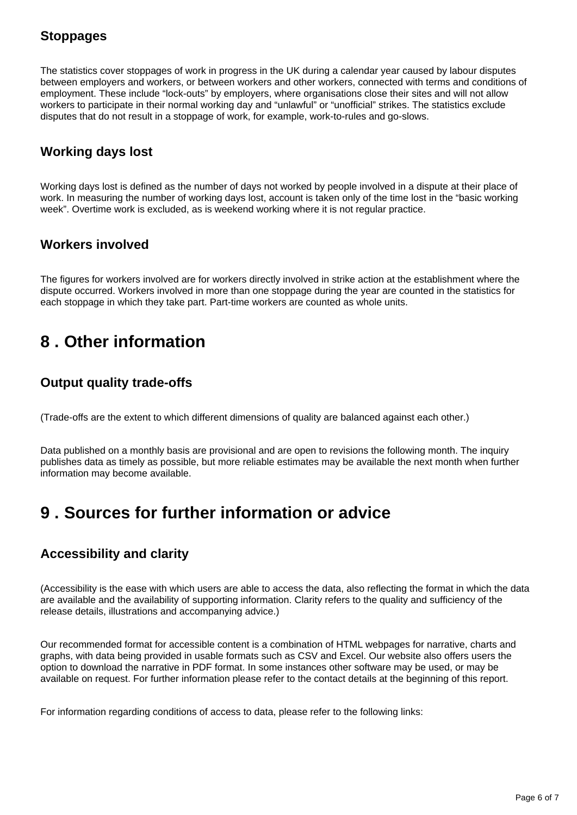#### **Stoppages**

The statistics cover stoppages of work in progress in the UK during a calendar year caused by labour disputes between employers and workers, or between workers and other workers, connected with terms and conditions of employment. These include "lock-outs" by employers, where organisations close their sites and will not allow workers to participate in their normal working day and "unlawful" or "unofficial" strikes. The statistics exclude disputes that do not result in a stoppage of work, for example, work-to-rules and go-slows.

#### **Working days lost**

Working days lost is defined as the number of days not worked by people involved in a dispute at their place of work. In measuring the number of working days lost, account is taken only of the time lost in the "basic working week". Overtime work is excluded, as is weekend working where it is not regular practice.

#### **Workers involved**

The figures for workers involved are for workers directly involved in strike action at the establishment where the dispute occurred. Workers involved in more than one stoppage during the year are counted in the statistics for each stoppage in which they take part. Part-time workers are counted as whole units.

### <span id="page-5-0"></span>**8 . Other information**

#### **Output quality trade-offs**

(Trade-offs are the extent to which different dimensions of quality are balanced against each other.)

Data published on a monthly basis are provisional and are open to revisions the following month. The inquiry publishes data as timely as possible, but more reliable estimates may be available the next month when further information may become available.

### <span id="page-5-1"></span>**9 . Sources for further information or advice**

#### **Accessibility and clarity**

(Accessibility is the ease with which users are able to access the data, also reflecting the format in which the data are available and the availability of supporting information. Clarity refers to the quality and sufficiency of the release details, illustrations and accompanying advice.)

Our recommended format for accessible content is a combination of HTML webpages for narrative, charts and graphs, with data being provided in usable formats such as CSV and Excel. Our website also offers users the option to download the narrative in PDF format. In some instances other software may be used, or may be available on request. For further information please refer to the contact details at the beginning of this report.

For information regarding conditions of access to data, please refer to the following links: